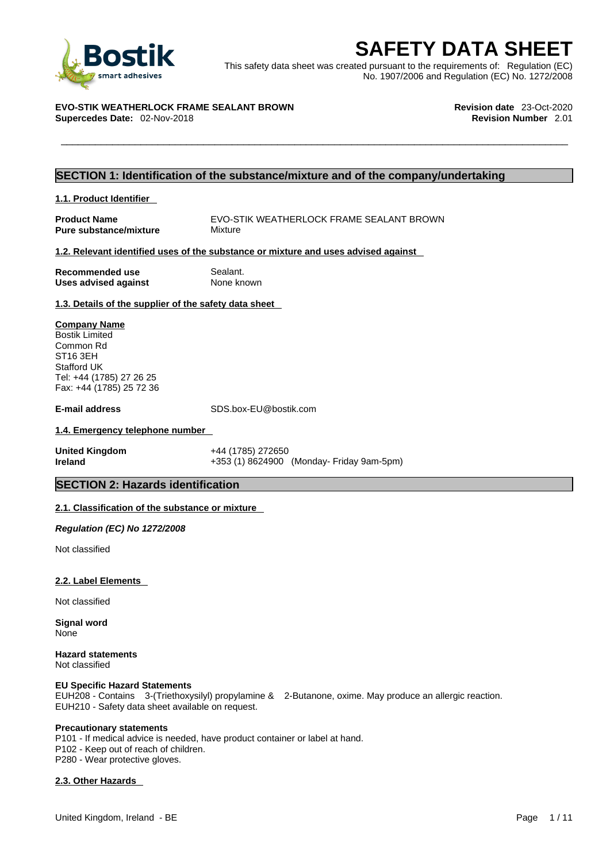

**SAFETY DATA SHEET**<br>
This safety data sheet was created pursuant to the requirements of: Regulation (EC)<br>
No. 1907/2006 and Regulation (EC) No. 1272/2008<br>
VO-STIK WEATHERLOCK FRAME SEALANT BROWN<br>
upercedes Date: 02-Nov-201 This safety data sheet was created pursuant to the requirements of: Regulation (EC) No. 1907/2006 and Regulation (EC) No. 1272/2008

## **EVO-STIK WEATHERLOCK FRAME SEALANT BROWN Revision date** 23-Oct-2020

**Supercedes Date: 02-Nov-2018** 

## **SECTION 1: Identification of the substance/mixture and of the company/undertaking**

#### **1.1. Product Identifier**

**Pure substance/mixture** Mixture

**Product Name** EVO-STIK WEATHERLOCK FRAME SEALANT BROWN

#### **1.2. Relevant identified uses of the substance or mixture and uses advised against**

**Recommended use Sealant.**<br> **Uses advised against None known Uses** advised against

#### **1.3. Details of the supplier of the safety data sheet**

#### **Company Name**

Bostik Limited Common Rd ST16 3EH Stafford UK Tel: +44 (1785) 27 26 25 Fax: +44 (1785) 25 72 36

**E-mail address** SDS.box-EU@bostik.com

#### **1.4. Emergency telephone number**

**United Kingdom** +44 (1785) 272650 **Ireland +353 (1) 8624900 (Monday- Friday 9am-5pm)** 

#### **SECTION 2: Hazards identification**

#### **2.1. Classification of the substance or mixture**

*Regulation (EC) No 1272/2008* 

Not classified

#### **2.2. Label Elements**

Not classified

**Signal word** None

**Hazard statements** Not classified

#### **EU Specific Hazard Statements**

EUH208 - Contains 3-(Triethoxysilyl) propylamine & 2-Butanone, oxime. May produce an allergic reaction. EUH210 - Safety data sheet available on request.

#### **Precautionary statements**

P101 - If medical advice is needed, have product container or label at hand. P102 - Keep out of reach of children. P280 - Wear protective gloves.

#### **2.3. Other Hazards**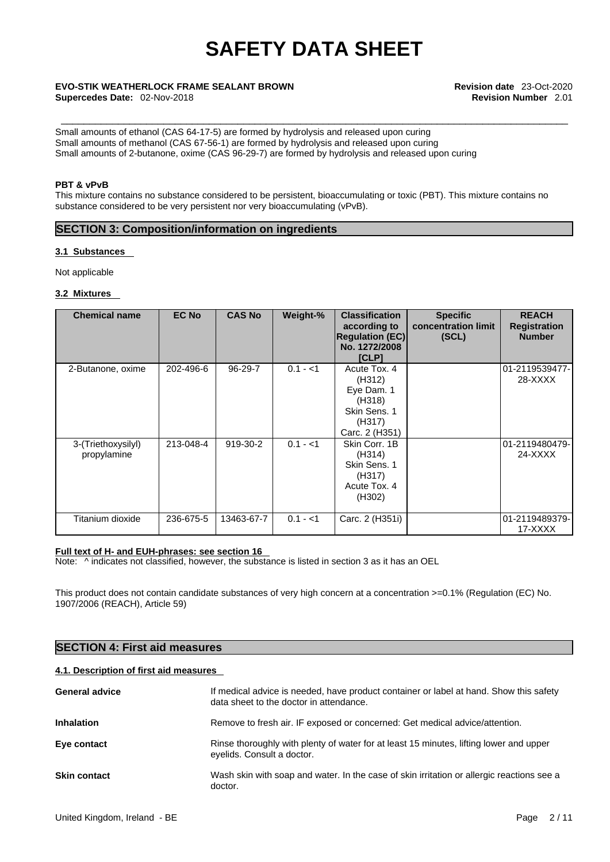**Supercedes Date:** 02-Nov-2018 **Revision Number** 2.01

\_\_\_\_\_\_\_\_\_\_\_\_\_\_\_\_\_\_\_\_\_\_\_\_\_\_\_\_\_\_\_\_\_\_\_\_\_\_\_\_\_\_\_\_\_\_\_\_\_\_\_\_\_\_\_\_\_\_\_\_\_\_\_\_\_\_\_\_\_\_\_\_\_\_\_\_\_\_\_\_\_\_\_\_\_\_\_\_\_ **EVO-STIK WEATHERLOCK FRAME SEALANT BROWN Revision date** 23-Oct-2020

Small amounts of ethanol (CAS 64-17-5) are formed by hydrolysis and released upon curing Small amounts of methanol (CAS 67-56-1) are formed by hydrolysis and released upon curing Small amounts of 2-butanone, oxime (CAS 96-29-7) are formed by hydrolysis and released upon curing

#### **PBT & vPvB**

This mixture contains no substance considered to be persistent, bioaccumulating or toxic (PBT). This mixture contains no substance considered to be very persistent nor very bioaccumulating (vPvB).

### **SECTION 3: Composition/information on ingredients**

#### **3.1 Substances**

Not applicable

#### **3.2 Mixtures**

| <b>Chemical name</b>              | <b>EC No</b> | <b>CAS No</b> | Weight-%  | <b>Classification</b><br>according to<br><b>Regulation (EC)</b><br>No. 1272/2008<br>[CLP]  | <b>Specific</b><br>concentration limit<br>(SCL) | <b>REACH</b><br><b>Registration</b><br><b>Number</b> |  |
|-----------------------------------|--------------|---------------|-----------|--------------------------------------------------------------------------------------------|-------------------------------------------------|------------------------------------------------------|--|
| 2-Butanone, oxime                 | 202-496-6    | 96-29-7       | $0.1 - 1$ | Acute Tox. 4<br>(H312)<br>Eye Dam. 1<br>(H318)<br>Skin Sens, 1<br>(H317)<br>Carc. 2 (H351) |                                                 | 01-2119539477-<br>28-XXXX                            |  |
| 3-(Triethoxysilyl)<br>propylamine | 213-048-4    | 919-30-2      | $0.1 - 1$ | Skin Corr, 1B<br>(H314)<br>Skin Sens. 1<br>(H317)<br>Acute Tox, 4<br>(H302)                |                                                 | 01-2119480479-<br>24-XXXX                            |  |
| Titanium dioxide                  | 236-675-5    | 13463-67-7    | $0.1 - 1$ | Carc. 2 (H351i)                                                                            |                                                 | 01-2119489379-<br>17-XXXX                            |  |

#### **Full text of H- and EUH-phrases: see section 16**

Note:  $\wedge$  indicates not classified, however, the substance is listed in section 3 as it has an OEL

This product does not contain candidate substances of very high concern at a concentration >=0.1% (Regulation (EC) No. 1907/2006 (REACH), Article 59)

### **SECTION 4: First aid measures**

#### **4.1. Description of first aid measures**

| <b>General advice</b> | If medical advice is needed, have product container or label at hand. Show this safety<br>data sheet to the doctor in attendance. |
|-----------------------|-----------------------------------------------------------------------------------------------------------------------------------|
| <b>Inhalation</b>     | Remove to fresh air. IF exposed or concerned: Get medical advice/attention.                                                       |
| Eye contact           | Rinse thoroughly with plenty of water for at least 15 minutes, lifting lower and upper<br>eyelids. Consult a doctor.              |
| <b>Skin contact</b>   | Wash skin with soap and water. In the case of skin irritation or allergic reactions see a<br>doctor.                              |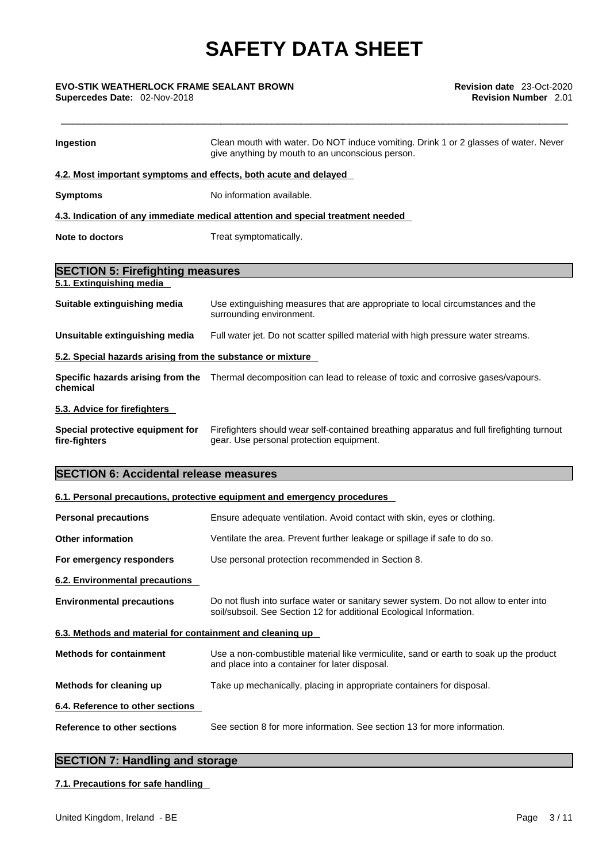# \_\_\_\_\_\_\_\_\_\_\_\_\_\_\_\_\_\_\_\_\_\_\_\_\_\_\_\_\_\_\_\_\_\_\_\_\_\_\_\_\_\_\_\_\_\_\_\_\_\_\_\_\_\_\_\_\_\_\_\_\_\_\_\_\_\_\_\_\_\_\_\_\_\_\_\_\_\_\_\_\_\_\_\_\_\_\_\_\_ **EVO-STIK WEATHERLOCK FRAME SEALANT BROWN Revision date** 23-Oct-2020

| Ingestion                                                        | Clean mouth with water. Do NOT induce vomiting. Drink 1 or 2 glasses of water. Never<br>give anything by mouth to an unconscious person.                    |
|------------------------------------------------------------------|-------------------------------------------------------------------------------------------------------------------------------------------------------------|
| 4.2. Most important symptoms and effects, both acute and delayed |                                                                                                                                                             |
| <b>Symptoms</b>                                                  | No information available.                                                                                                                                   |
|                                                                  | 4.3. Indication of any immediate medical attention and special treatment needed                                                                             |
| Note to doctors                                                  | Treat symptomatically.                                                                                                                                      |
| <b>SECTION 5: Firefighting measures</b>                          |                                                                                                                                                             |
| 5.1. Extinguishing media                                         |                                                                                                                                                             |
| Suitable extinguishing media                                     | Use extinguishing measures that are appropriate to local circumstances and the<br>surrounding environment.                                                  |
| Unsuitable extinguishing media                                   | Full water jet. Do not scatter spilled material with high pressure water streams.                                                                           |
| 5.2. Special hazards arising from the substance or mixture       |                                                                                                                                                             |
| chemical                                                         | Specific hazards arising from the Thermal decomposition can lead to release of toxic and corrosive gases/vapours.                                           |
| 5.3. Advice for firefighters                                     |                                                                                                                                                             |
| Special protective equipment for<br>fire-fighters                | Firefighters should wear self-contained breathing apparatus and full firefighting turnout<br>gear. Use personal protection equipment.                       |
| <b>SECTION 6: Accidental release measures</b>                    |                                                                                                                                                             |
|                                                                  | 6.1. Personal precautions, protective equipment and emergency procedures                                                                                    |
| <b>Personal precautions</b>                                      | Ensure adequate ventilation. Avoid contact with skin, eyes or clothing.                                                                                     |
| <b>Other information</b>                                         | Ventilate the area. Prevent further leakage or spillage if safe to do so.                                                                                   |
| For emergency responders                                         | Use personal protection recommended in Section 8.                                                                                                           |
| 6.2. Environmental precautions                                   |                                                                                                                                                             |
| <b>Environmental precautions</b>                                 | Do not flush into surface water or sanitary sewer system. Do not allow to enter into<br>soil/subsoil. See Section 12 for additional Ecological Information. |
| 6.3. Methods and material for containment and cleaning up        |                                                                                                                                                             |
| <b>Methods for containment</b>                                   | Use a non-combustible material like vermiculite, sand or earth to soak up the product<br>and place into a container for later disposal.                     |
| Methods for cleaning up                                          | Take up mechanically, placing in appropriate containers for disposal.                                                                                       |
| 6.4. Reference to other sections                                 |                                                                                                                                                             |
| Reference to other sections                                      | See section 8 for more information. See section 13 for more information.                                                                                    |

## **SECTION 7: Handling and storage**

#### **7.1. Precautions for safe handling**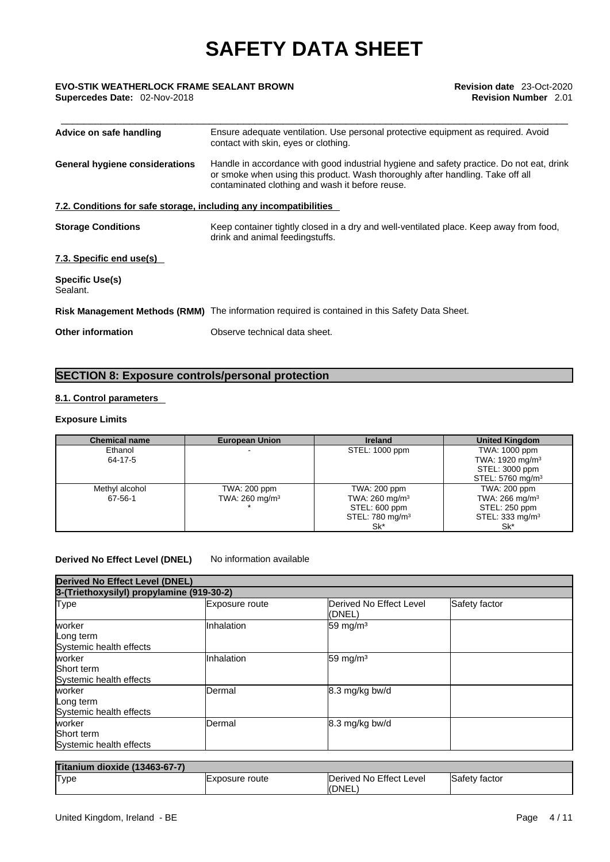**Supercedes Date:** 02-Nov-2018 **Revision Number** 2.01

| Advice on safe handling                                           | Ensure adequate ventilation. Use personal protective equipment as required. Avoid<br>contact with skin, eyes or clothing.                                                                                                     |  |
|-------------------------------------------------------------------|-------------------------------------------------------------------------------------------------------------------------------------------------------------------------------------------------------------------------------|--|
| <b>General hygiene considerations</b>                             | Handle in accordance with good industrial hygiene and safety practice. Do not eat, drink<br>or smoke when using this product. Wash thoroughly after handling. Take off all<br>contaminated clothing and wash it before reuse. |  |
| 7.2. Conditions for safe storage, including any incompatibilities |                                                                                                                                                                                                                               |  |
| <b>Storage Conditions</b>                                         | Keep container tightly closed in a dry and well-ventilated place. Keep away from food,<br>drink and animal feedingstuffs.                                                                                                     |  |
| 7.3. Specific end use(s)                                          |                                                                                                                                                                                                                               |  |
| <b>Specific Use(s)</b><br>Sealant.                                |                                                                                                                                                                                                                               |  |
|                                                                   | Risk Management Methods (RMM) The information required is contained in this Safety Data Sheet.                                                                                                                                |  |
| <b>Other information</b>                                          | Observe technical data sheet.                                                                                                                                                                                                 |  |

## **SECTION 8: Exposure controls/personal protection**

#### **8.1. Control parameters**

#### **Exposure Limits**

| <b>Chemical name</b> | <b>European Union</b>     | <b>Ireland</b>              | <b>United Kingdom</b>        |
|----------------------|---------------------------|-----------------------------|------------------------------|
| Ethanol              |                           | STEL: 1000 ppm              | TWA: 1000 ppm                |
| 64-17-5              |                           |                             | TWA: 1920 mg/m <sup>3</sup>  |
|                      |                           |                             | STEL: 3000 ppm               |
|                      |                           |                             | STEL: 5760 mg/m <sup>3</sup> |
| Methyl alcohol       | TWA: 200 ppm              | TWA: 200 ppm                | TWA: 200 ppm                 |
| 67-56-1              | TWA: $260 \text{ mg/m}^3$ | TWA: $260 \text{ mg/m}^3$   | TWA: $266$ mg/m <sup>3</sup> |
|                      |                           | STEL: 600 ppm               | STEL: 250 ppm                |
|                      |                           | STEL: 780 mg/m <sup>3</sup> | STEL: 333 mg/m <sup>3</sup>  |
|                      |                           | Sk*                         | Sk*                          |

#### **Derived No Effect Level (DNEL)** No information available

| <b>Derived No Effect Level (DNEL)</b>           |                                           |                                   |               |  |
|-------------------------------------------------|-------------------------------------------|-----------------------------------|---------------|--|
|                                                 | 3-(Triethoxysilyl) propylamine (919-30-2) |                                   |               |  |
| Type                                            | Exposure route                            | Derived No Effect Level<br>(DNEL) | Safety factor |  |
| worker<br>Long term<br>Systemic health effects  | Inhalation                                | 59 mg/m $3$                       |               |  |
| worker<br>Short term<br>Systemic health effects | Inhalation                                | 59 mg/m $3$                       |               |  |
| worker<br>Long term<br>Systemic health effects  | Dermal                                    | 8.3 mg/kg bw/d                    |               |  |
| worker<br>Short term<br>Systemic health effects | Dermal                                    | 8.3 mg/kg bw/d                    |               |  |

| Titanium dioxide (13463-67-7) |                        |                                  |                      |
|-------------------------------|------------------------|----------------------------------|----------------------|
| Type                          | <b>IExposure</b> route | Derived No Effect Level<br>(DNEL | <b>Safety factor</b> |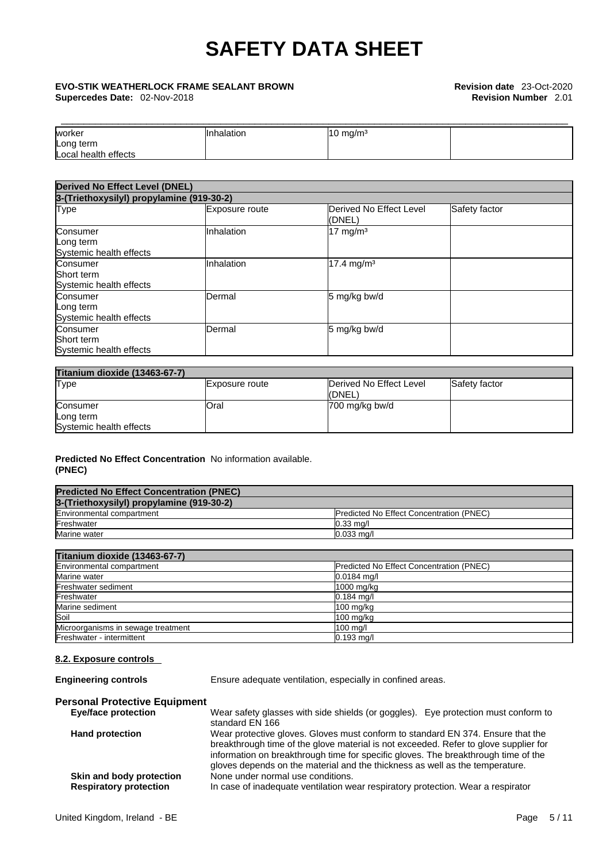\_\_\_\_\_\_\_\_\_\_\_\_\_\_\_\_\_\_\_\_\_\_\_\_\_\_\_\_\_\_\_\_\_\_\_\_\_\_\_\_\_\_\_\_\_\_\_\_\_\_\_\_\_\_\_\_\_\_\_\_\_\_\_\_\_\_\_\_\_\_\_\_\_\_\_\_\_\_\_\_\_\_\_\_\_\_\_\_\_ **EVO-STIK WEATHERLOCK FRAME SEALANT BROWN Revision date** 23-Oct-2020 **Supercedes Date:** 02-Nov-2018 **Revision Number** 2.01

| worker               | Inhalation | $10 \text{ mg/m}^3$ |  |
|----------------------|------------|---------------------|--|
| Long term            |            |                     |  |
| Local health effects |            |                     |  |

| <b>Derived No Effect Level (DNEL)</b><br>3-(Triethoxysilyl) propylamine (919-30-2) |            |                        |  |
|------------------------------------------------------------------------------------|------------|------------------------|--|
|                                                                                    |            |                        |  |
| Consumer<br>Long term<br>Systemic health effects                                   | Inhalation | $17 \text{ mg/m}^3$    |  |
| Consumer<br><b>Short term</b><br>Systemic health effects                           | Inhalation | 17.4 mg/m <sup>3</sup> |  |
| Consumer<br>Long term<br>Systemic health effects                                   | Dermal     | 5 mg/kg bw/d           |  |
| Consumer<br>Short term<br>Systemic health effects                                  | Dermal     | 5 mg/kg bw/d           |  |

| <b>Titanium dioxide (13463-67-7)</b> |                |                                    |               |
|--------------------------------------|----------------|------------------------------------|---------------|
| Type                                 | Exposure route | Derived No Effect Level<br>l(DNEL) | Safety factor |
| Consumer                             | <b>Oral</b>    | 700 mg/kg bw/d                     |               |
| Long term                            |                |                                    |               |
| Systemic health effects              |                |                                    |               |

#### **Predicted No Effect Concentration** No information available. **(PNEC)**

| <b>Predicted No Effect Concentration (PNEC)</b> |                                                 |
|-------------------------------------------------|-------------------------------------------------|
| 3-(Triethoxysilyl) propylamine (919-30-2)       |                                                 |
| Environmental compartment                       | <b>Predicted No Effect Concentration (PNEC)</b> |
| Freshwater                                      | $0.33$ mg/                                      |
| Marine water                                    | $0.033$ ma/l                                    |

| Titanium dioxide (13463-67-7)                             |  |  |
|-----------------------------------------------------------|--|--|
| $\Gamma$ as the second second of the second second second |  |  |

| Environmental compartment          | <b>Predicted No Effect Concentration (PNEC)</b> |
|------------------------------------|-------------------------------------------------|
| Marine water                       | $0.0184$ mg/l                                   |
| Freshwater sediment                | 1000 mg/kg                                      |
| Freshwater                         | $0.184$ mg/l                                    |
| Marine sediment                    | $100$ mg/kg                                     |
| Soil                               | $100$ mg/kg                                     |
| Microorganisms in sewage treatment | $100$ mg/l                                      |
| Freshwater - intermittent          | $0.193$ mg/l                                    |

#### **8.2. Exposure controls**

**Engineering controls** Ensure adequate ventilation, especially in confined areas.

## **Personal Protective Equipment**

Wear safety glasses with side shields (or goggles). Eye protection must conform to standard EN 166 **Hand protection** Wear protective gloves. Gloves must conform to standard EN 374. Ensure that the breakthrough time of the glove material is not exceeded. Refer to glove supplier for information on breakthrough time for specific gloves. The breakthrough time of the gloves depends on the material and the thickness as well as the temperature. **Skin and body protection** None under normal use conditions. **Respiratory protection** In case of inadequate ventilation wear respiratory protection. Wear a respirator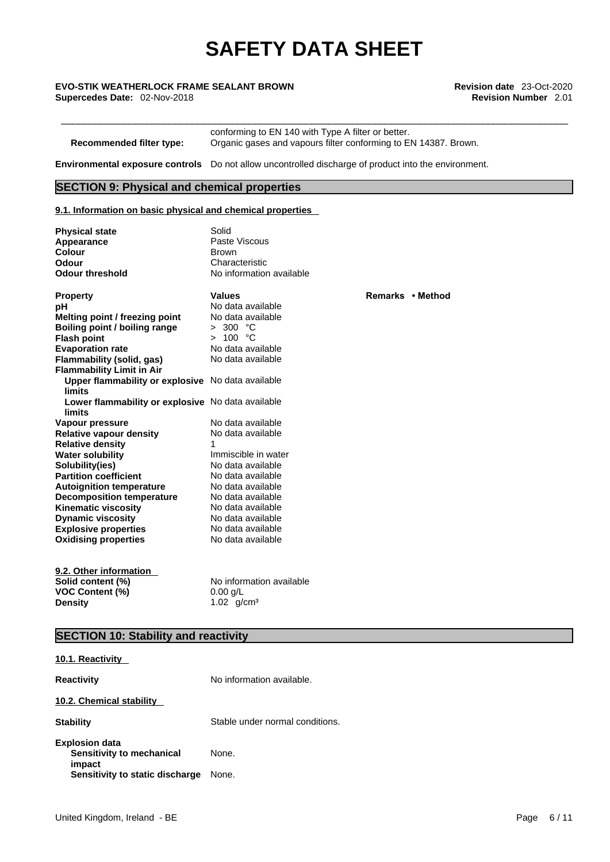\_\_\_\_\_\_\_\_\_\_\_\_\_\_\_\_\_\_\_\_\_\_\_\_\_\_\_\_\_\_\_\_\_\_\_\_\_\_\_\_\_\_\_\_\_\_\_\_\_\_\_\_\_\_\_\_\_\_\_\_\_\_\_\_\_\_\_\_\_\_\_\_\_\_\_\_\_\_\_\_\_\_\_\_\_\_\_\_\_ **EVO-STIK WEATHERLOCK FRAME SEALANT BROWN Revision date** 23-Oct-2020 **Supercedes Date:** 02-Nov-2018 **Revision Number** 2.01

conforming to EN 140 with Type A filter or better. **Recommended filter type:** Organic gases and vapours filter conforming to EN 14387. Brown.

**Environmental exposure controls** Do not allow uncontrolled discharge of product into the environment.

#### **SECTION 9: Physical and chemical properties**

#### **9.1. Information on basic physical and chemical properties**

| <b>Physical state</b>                                       | Solid                    |                  |
|-------------------------------------------------------------|--------------------------|------------------|
| Appearance                                                  | Paste Viscous            |                  |
| Colour                                                      | <b>Brown</b>             |                  |
| <b>Odour</b>                                                | Characteristic           |                  |
| <b>Odour threshold</b>                                      | No information available |                  |
| <b>Property</b>                                             | <b>Values</b>            | Remarks • Method |
| рH                                                          | No data available        |                  |
| Melting point / freezing point                              | No data available        |                  |
| Boiling point / boiling range                               | > 300 °C                 |                  |
| <b>Flash point</b>                                          | > 100 °C                 |                  |
| <b>Evaporation rate</b>                                     | No data available        |                  |
| Flammability (solid, gas)                                   | No data available        |                  |
| <b>Flammability Limit in Air</b>                            |                          |                  |
| Upper flammability or explosive No data available           |                          |                  |
| <b>limits</b>                                               |                          |                  |
| Lower flammability or explosive No data available<br>limits |                          |                  |
| Vapour pressure                                             | No data available        |                  |
| <b>Relative vapour density</b>                              | No data available        |                  |
| <b>Relative density</b>                                     | 1                        |                  |
| <b>Water solubility</b>                                     | Immiscible in water      |                  |
| Solubility(ies)                                             | No data available        |                  |
| <b>Partition coefficient</b>                                | No data available        |                  |
| <b>Autoignition temperature</b>                             | No data available        |                  |
| <b>Decomposition temperature</b>                            | No data available        |                  |
| <b>Kinematic viscosity</b>                                  | No data available        |                  |
| <b>Dynamic viscosity</b>                                    | No data available        |                  |
| <b>Explosive properties</b>                                 | No data available        |                  |
| <b>Oxidising properties</b>                                 | No data available        |                  |
|                                                             |                          |                  |
| 9.2. Other information                                      | No information available |                  |
| Solid content (%)                                           |                          |                  |
| <b>VOC Content (%)</b>                                      | $0.00$ g/L               |                  |
| Density                                                     | 1.02 $g/cm^{3}$          |                  |
|                                                             |                          |                  |

### **SECTION 10: Stability and reactivity**

| 10.1. Reactivity                                                                                |                                 |
|-------------------------------------------------------------------------------------------------|---------------------------------|
| <b>Reactivity</b>                                                                               | No information available.       |
| 10.2. Chemical stability                                                                        |                                 |
| <b>Stability</b>                                                                                | Stable under normal conditions. |
| <b>Explosion data</b><br>Sensitivity to mechanical<br>impact<br>Sensitivity to static discharge | None.<br>None.                  |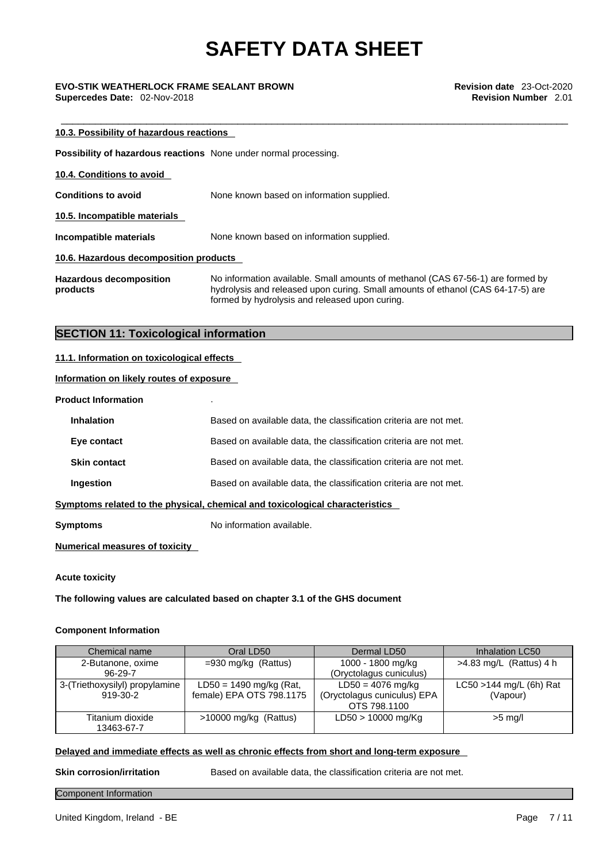# \_\_\_\_\_\_\_\_\_\_\_\_\_\_\_\_\_\_\_\_\_\_\_\_\_\_\_\_\_\_\_\_\_\_\_\_\_\_\_\_\_\_\_\_\_\_\_\_\_\_\_\_\_\_\_\_\_\_\_\_\_\_\_\_\_\_\_\_\_\_\_\_\_\_\_\_\_\_\_\_\_\_\_\_\_\_\_\_\_ **EVO-STIK WEATHERLOCK FRAME SEALANT BROWN Revision date** 23-Oct-2020

**Supercedes Date:** 02-Nov-2018 **Revision Number** 2.01

| 10.3. Possibility of hazardous reactions                                |                                                                                                                                                                                                                      |  |  |  |  |  |
|-------------------------------------------------------------------------|----------------------------------------------------------------------------------------------------------------------------------------------------------------------------------------------------------------------|--|--|--|--|--|
| <b>Possibility of hazardous reactions</b> None under normal processing. |                                                                                                                                                                                                                      |  |  |  |  |  |
| 10.4. Conditions to avoid                                               |                                                                                                                                                                                                                      |  |  |  |  |  |
| <b>Conditions to avoid</b>                                              | None known based on information supplied.                                                                                                                                                                            |  |  |  |  |  |
| 10.5. Incompatible materials                                            |                                                                                                                                                                                                                      |  |  |  |  |  |
| Incompatible materials                                                  | None known based on information supplied.                                                                                                                                                                            |  |  |  |  |  |
| 10.6. Hazardous decomposition products                                  |                                                                                                                                                                                                                      |  |  |  |  |  |
| <b>Hazardous decomposition</b><br>products                              | No information available. Small amounts of methanol (CAS 67-56-1) are formed by<br>hydrolysis and released upon curing. Small amounts of ethanol (CAS 64-17-5) are<br>formed by hydrolysis and released upon curing. |  |  |  |  |  |

### **SECTION 11: Toxicological information**

#### **11.1. Information on toxicological effects**

#### **Information on likely routes of exposure**

#### **Product Information** .

| <b>Inhalation</b>   | Based on available data, the classification criteria are not met.            |
|---------------------|------------------------------------------------------------------------------|
| Eye contact         | Based on available data, the classification criteria are not met.            |
| <b>Skin contact</b> | Based on available data, the classification criteria are not met.            |
| Ingestion           | Based on available data, the classification criteria are not met.            |
|                     | Symptoms related to the physical, chemical and toxicological characteristics |
|                     |                                                                              |

**Symptoms** No information available.

#### **Numerical measures of toxicity**

#### **Acute toxicity**

**The following values are calculated based on chapter 3.1 of the GHS document**

#### **Component Information**

| Chemical name                  | Oral LD50                 | Dermal LD50                 | Inhalation LC50            |
|--------------------------------|---------------------------|-----------------------------|----------------------------|
| 2-Butanone, oxime              | $=930$ mg/kg (Rattus)     | 1000 - 1800 mg/kg           | $>4.83$ mg/L (Rattus) 4 h  |
| $96-29-7$                      |                           | (Oryctolagus cuniculus)     |                            |
| 3-(Triethoxysilyl) propylamine | $LD50 = 1490$ mg/kg (Rat, | $LD50 = 4076$ mg/kg         | $LC50 > 144$ mg/L (6h) Rat |
| 919-30-2                       | female) EPA OTS 798.1175  | (Oryctolagus cuniculus) EPA | (Vapour)                   |
|                                |                           | OTS 798,1100                |                            |
| Titanium dioxide               | $>10000$ mg/kg (Rattus)   | LD50 > 10000 mg/Kg          | $>5$ mg/l                  |
| 13463-67-7                     |                           |                             |                            |

#### **Delayed and immediate effects as well as chronic effects from short and long-term exposure**

**Skin corrosion/irritation** Based on available data, the classification criteria are not met.

#### Component Information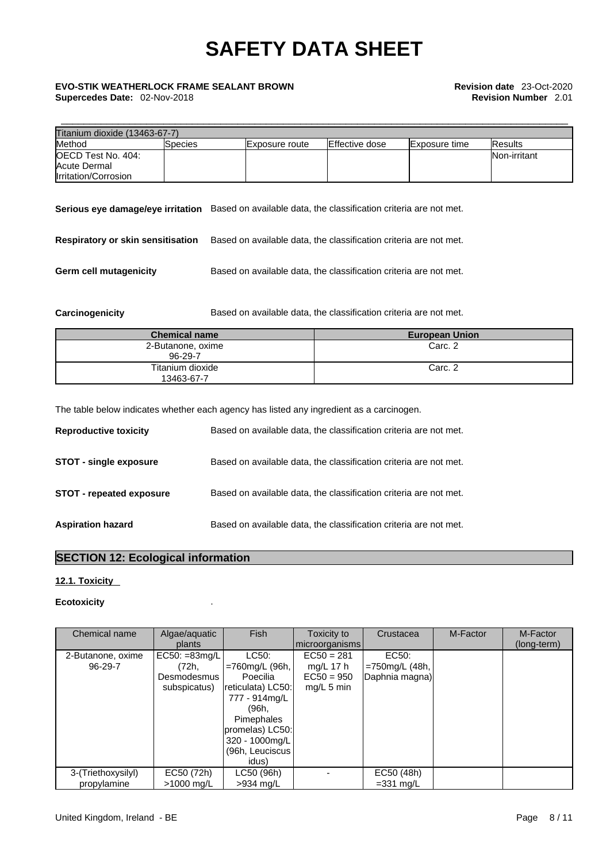# \_\_\_\_\_\_\_\_\_\_\_\_\_\_\_\_\_\_\_\_\_\_\_\_\_\_\_\_\_\_\_\_\_\_\_\_\_\_\_\_\_\_\_\_\_\_\_\_\_\_\_\_\_\_\_\_\_\_\_\_\_\_\_\_\_\_\_\_\_\_\_\_\_\_\_\_\_\_\_\_\_\_\_\_\_\_\_\_\_ **EVO-STIK WEATHERLOCK FRAME SEALANT BROWN Revision date** 23-Oct-2020

| Titanium dioxide (13463-67-7)             |          |                                                                   |                                                                   |                |               |              |
|-------------------------------------------|----------|-------------------------------------------------------------------|-------------------------------------------------------------------|----------------|---------------|--------------|
| Method                                    | lSpecies |                                                                   | Exposure route                                                    | Effective dose | Exposure time | Results      |
| OECD Test No. 404:<br><b>Acute Dermal</b> |          |                                                                   |                                                                   |                |               | Non-irritant |
| Irritation/Corrosion                      |          |                                                                   |                                                                   |                |               |              |
| Serious eye damage/eye irritation         |          |                                                                   | Based on available data, the classification criteria are not met. |                |               |              |
| <b>Respiratory or skin sensitisation</b>  |          | Based on available data, the classification criteria are not met. |                                                                   |                |               |              |

**Germ cell mutagenicity** Based on available data, the classification criteria are not met.

**Carcinogenicity** Based on available data, the classification criteria are not met.

| <b>Chemical name</b>           | <b>European Union</b> |
|--------------------------------|-----------------------|
| 2-Butanone, oxime<br>96-29-7   | Carc. 2               |
| Titanium dioxide<br>13463-67-7 | Carc. 2               |

The table below indicates whether each agency has listed any ingredient as a carcinogen.

| <b>Reproductive toxicity</b>    | Based on available data, the classification criteria are not met. |
|---------------------------------|-------------------------------------------------------------------|
| <b>STOT - single exposure</b>   | Based on available data, the classification criteria are not met. |
| <b>STOT - repeated exposure</b> | Based on available data, the classification criteria are not met. |
| <b>Aspiration hazard</b>        | Based on available data, the classification criteria are not met. |

## **SECTION 12: Ecological information**

### **12.1. Toxicity**

#### **Ecotoxicity** .

| Chemical name                     | Algae/aquatic<br>plants                                  | <b>Fish</b>                                                                                                                                                               | Toxicity to<br>microorganisms                               | Crustacea                                    | M-Factor | M-Factor<br>(long-term) |
|-----------------------------------|----------------------------------------------------------|---------------------------------------------------------------------------------------------------------------------------------------------------------------------------|-------------------------------------------------------------|----------------------------------------------|----------|-------------------------|
| 2-Butanone, oxime<br>96-29-7      | $EC50: = 83mg/L$<br>(72h.<br>Desmodesmus<br>subspicatus) | LC50:<br>$=760$ mg/L (96h, $ $<br>Poecilia<br>reticulata) LC50:<br>777 - 914mg/L<br>(96h.<br>Pimephales<br>promelas) LC50:<br>320 - 1000mg/L<br>(96h, Leuciscus)<br>idus) | $EC50 = 281$<br>mg/L 17 $h$<br>$EC50 = 950$<br>$mq/L$ 5 min | EC50:<br>$=750$ mg/L (48h,<br>Daphnia magna) |          |                         |
| 3-(Triethoxysilyl)<br>propylamine | EC50 (72h)<br>>1000 mg/L                                 | LC50 (96h)<br>$>934$ mg/L                                                                                                                                                 |                                                             | EC50 (48h)<br>$=$ 331 mg/L                   |          |                         |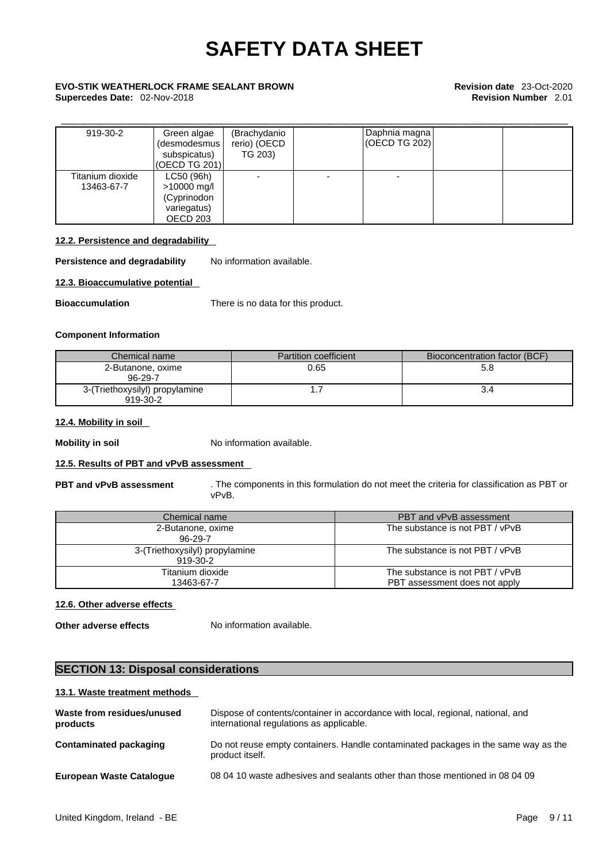## \_\_\_\_\_\_\_\_\_\_\_\_\_\_\_\_\_\_\_\_\_\_\_\_\_\_\_\_\_\_\_\_\_\_\_\_\_\_\_\_\_\_\_\_\_\_\_\_\_\_\_\_\_\_\_\_\_\_\_\_\_\_\_\_\_\_\_\_\_\_\_\_\_\_\_\_\_\_\_\_\_\_\_\_\_\_\_\_\_ **EVO-STIK WEATHERLOCK FRAME SEALANT BROWN Revision date** 23-Oct-2020 **Supercedes Date:** 02-Nov-2018 **Revision Number** 2.01

| 919-30-2                       | Green algae<br>(desmodesmus  <br>subspicatus)<br>(OECD TG 201)      | (Brachydanio<br>rerio) (OECD<br>TG 203) | Daphnia magna<br>(OECD TG 202) |  |
|--------------------------------|---------------------------------------------------------------------|-----------------------------------------|--------------------------------|--|
| Titanium dioxide<br>13463-67-7 | LC50 (96h)<br>>10000 mg/l<br>(Cyprinodon<br>variegatus)<br>OECD 203 |                                         |                                |  |

#### **12.2. Persistence and degradability**

**Persistence and degradability** No information available.

#### **12.3. Bioaccumulative potential**

**Bioaccumulation** There is no data for this product.

#### **Component Information**

| Chemical name                              | <b>Partition coefficient</b> | Bioconcentration factor (BCF) |
|--------------------------------------------|------------------------------|-------------------------------|
| 2-Butanone, oxime<br>96-29-7               | 0.65                         | 5.d                           |
| 3-(Triethoxysilyl) propylamine<br>919-30-2 |                              |                               |

#### **12.4. Mobility in soil**

**Mobility in soil** No information available.

#### **12.5. Results of PBT and vPvB assessment**

**PBT and vPvB assessment** . The components in this formulation do not meet the criteria for classification as PBT or vPvB.

| Chemical name                              | PBT and vPvB assessment         |
|--------------------------------------------|---------------------------------|
| 2-Butanone, oxime<br>96-29-7               | The substance is not PBT / vPvB |
| 3-(Triethoxysilyl) propylamine<br>919-30-2 | The substance is not PBT / vPvB |
| Titanium dioxide                           | The substance is not PBT / vPvB |
| 13463-67-7                                 | PBT assessment does not apply   |

#### **12.6. Other adverse effects**

**Other adverse effects** No information available.

#### **SECTION 13: Disposal considerations**

#### **13.1. Waste treatment methods**

| Dispose of contents/container in accordance with local, regional, national, and<br>international regulations as applicable. |
|-----------------------------------------------------------------------------------------------------------------------------|
| Do not reuse empty containers. Handle contaminated packages in the same way as the<br>product itself.                       |
| 08 04 10 waste adhesives and sealants other than those mentioned in 08 04 09                                                |
|                                                                                                                             |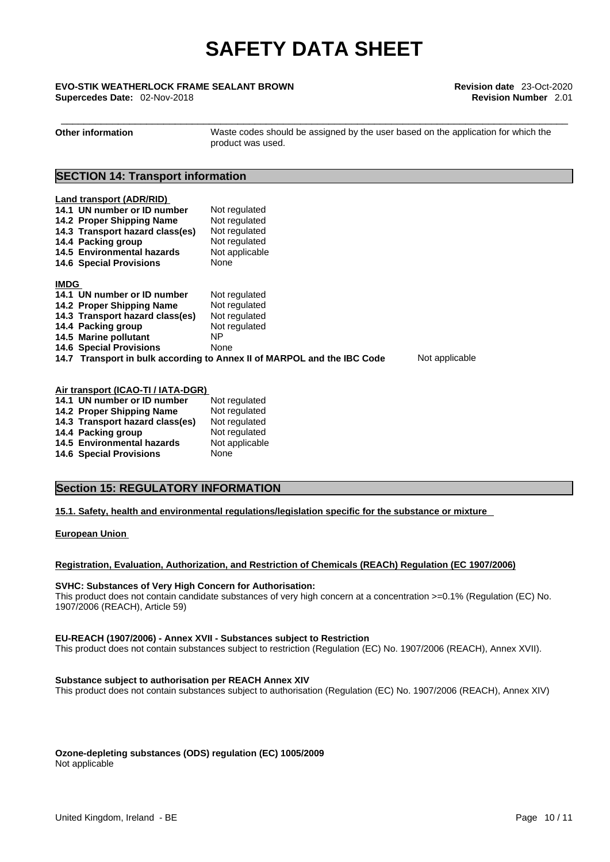# \_\_\_\_\_\_\_\_\_\_\_\_\_\_\_\_\_\_\_\_\_\_\_\_\_\_\_\_\_\_\_\_\_\_\_\_\_\_\_\_\_\_\_\_\_\_\_\_\_\_\_\_\_\_\_\_\_\_\_\_\_\_\_\_\_\_\_\_\_\_\_\_\_\_\_\_\_\_\_\_\_\_\_\_\_\_\_\_\_ **EVO-STIK WEATHERLOCK FRAME SEALANT BROWN Revision date** 23-Oct-2020

**Supercedes Date:** 02-Nov-2018 **Revision Number** 2.01

**Other information** Waste codes should be assigned by the user based on the application for which the product was used.

### **SECTION 14: Transport information**

| Land transport (ADR/RID)<br>14.1 UN number or ID number<br>14.2 Proper Shipping Name<br>14.3 Transport hazard class(es)<br>14.4 Packing group<br>14.5 Environmental hazards<br><b>14.6 Special Provisions</b> | Not regulated<br>Not regulated<br>Not regulated<br>Not regulated<br>Not applicable<br>None |                |
|---------------------------------------------------------------------------------------------------------------------------------------------------------------------------------------------------------------|--------------------------------------------------------------------------------------------|----------------|
| <b>IMDG</b>                                                                                                                                                                                                   |                                                                                            |                |
| 14.1 UN number or ID number                                                                                                                                                                                   | Not regulated                                                                              |                |
| 14.2 Proper Shipping Name                                                                                                                                                                                     | Not regulated                                                                              |                |
| 14.3 Transport hazard class(es)                                                                                                                                                                               | Not regulated                                                                              |                |
| 14.4 Packing group                                                                                                                                                                                            | Not regulated                                                                              |                |
| 14.5 Marine pollutant                                                                                                                                                                                         | ΝP                                                                                         |                |
| <b>14.6 Special Provisions</b>                                                                                                                                                                                | None                                                                                       |                |
|                                                                                                                                                                                                               | 14.7 Transport in bulk according to Annex II of MARPOL and the IBC Code                    | Not applicable |

| Air transport (ICAO-TI / IATA-DGR) |                                 |                |  |
|------------------------------------|---------------------------------|----------------|--|
|                                    | 14.1 UN number or ID number     | Not regulated  |  |
|                                    | 14.2 Proper Shipping Name       | Not regulated  |  |
|                                    | 14.3 Transport hazard class(es) | Not regulated  |  |
|                                    | 14.4 Packing group              | Not regulated  |  |
|                                    | 14.5 Environmental hazards      | Not applicable |  |
|                                    | <b>14.6 Special Provisions</b>  | None           |  |

### **Section 15: REGULATORY INFORMATION**

#### **15.1. Safety, health and environmental regulations/legislation specific for the substance or mixture**

**European Union** 

#### **Registration, Evaluation, Authorization, and Restriction of Chemicals (REACh) Regulation (EC 1907/2006)**

#### **SVHC: Substances of Very High Concern for Authorisation:**

This product does not contain candidate substances of very high concern at a concentration >=0.1% (Regulation (EC) No. 1907/2006 (REACH), Article 59)

#### **EU-REACH (1907/2006) - Annex XVII - Substances subject to Restriction**

This product does not contain substances subject to restriction (Regulation (EC) No. 1907/2006 (REACH), Annex XVII).

#### **Substance subject to authorisation per REACH Annex XIV**

This product does not contain substances subject to authorisation (Regulation (EC) No. 1907/2006 (REACH), Annex XIV)

**Ozone-depleting substances (ODS) regulation (EC) 1005/2009** Not applicable